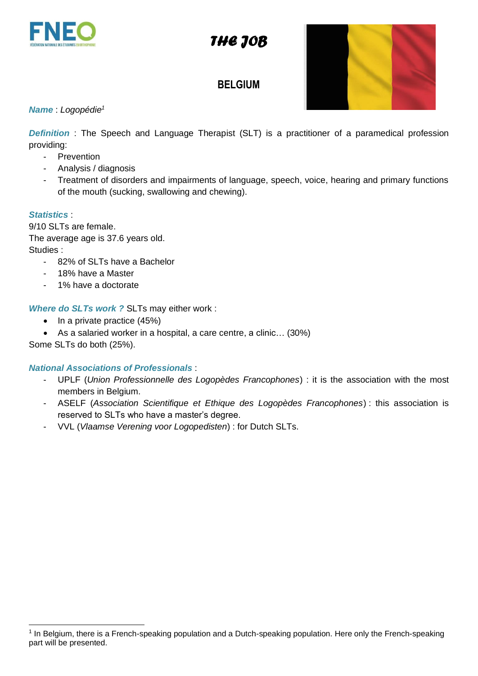

# **BELGIUM**



### *Name* : *Logopédie 1*

**Definition**: The Speech and Language Therapist (SLT) is a practitioner of a paramedical profession providing:

- Prevention
- Analysis / diagnosis
- Treatment of disorders and impairments of language, speech, voice, hearing and primary functions of the mouth (sucking, swallowing and chewing).

#### *Statistics* :

9/10 SLTs are female. The average age is 37.6 years old. Studies :

- 82% of SLTs have a Bachelor
- 18% have a Master
- 1% have a doctorate

*Where do SLTs work ?* SLTs may either work :

- In a private practice (45%)
- As a salaried worker in a hospital, a care centre, a clinic... (30%)

Some SLTs do both (25%).

#### *National Associations of Professionals* :

- UPLF (*Union Professionnelle des Logopèdes Francophones*) : it is the association with the most members in Belgium.
- ASELF (*Association Scientifique et Ethique des Logopèdes Francophones*) : this association is reserved to SLTs who have a master's degree.
- VVL (*Vlaamse Verening voor Logopedisten*) : for Dutch SLTs.

<sup>&</sup>lt;sup>1</sup> In Belgium, there is a French-speaking population and a Dutch-speaking population. Here only the French-speaking part will be presented.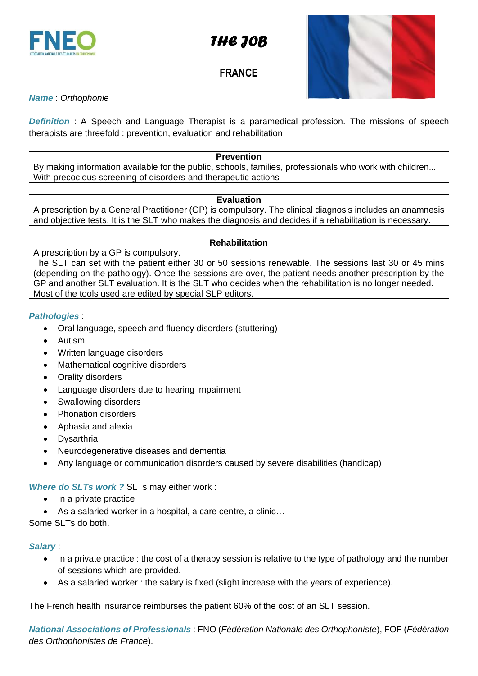

# **FRANCE**



## *Name* : *Orthophonie*

*Definition* : A Speech and Language Therapist is a paramedical profession. The missions of speech therapists are threefold : prevention, evaluation and rehabilitation.

## **Prevention**

By making information available for the public, schools, families, professionals who work with children... With precocious screening of disorders and therapeutic actions

#### **Evaluation**

A prescription by a General Practitioner (GP) is compulsory. The clinical diagnosis includes an anamnesis and objective tests. It is the SLT who makes the diagnosis and decides if a rehabilitation is necessary.

#### **Rehabilitation**

A prescription by a GP is compulsory.

The SLT can set with the patient either 30 or 50 sessions renewable. The sessions last 30 or 45 mins (depending on the pathology). Once the sessions are over, the patient needs another prescription by the GP and another SLT evaluation. It is the SLT who decides when the rehabilitation is no longer needed. Most of the tools used are edited by special SLP editors.

#### *Pathologies* :

- Oral language, speech and fluency disorders (stuttering)
- Autism
- Written language disorders
- Mathematical cognitive disorders
- Orality disorders
- Language disorders due to hearing impairment
- Swallowing disorders
- Phonation disorders
- Aphasia and alexia
- Dysarthria
- Neurodegenerative diseases and dementia
- Any language or communication disorders caused by severe disabilities (handicap)

*Where do SLTs work ?* SLTs may either work :

- In a private practice
- As a salaried worker in a hospital, a care centre, a clinic…

Some SLTs do both.

#### *Salary* :

- In a private practice : the cost of a therapy session is relative to the type of pathology and the number of sessions which are provided.
- As a salaried worker : the salary is fixed (slight increase with the years of experience).

The French health insurance reimburses the patient 60% of the cost of an SLT session.

*National Associations of Professionals* : FNO (*Fédération Nationale des Orthophoniste*), FOF (*Fédération des Orthophonistes de France*).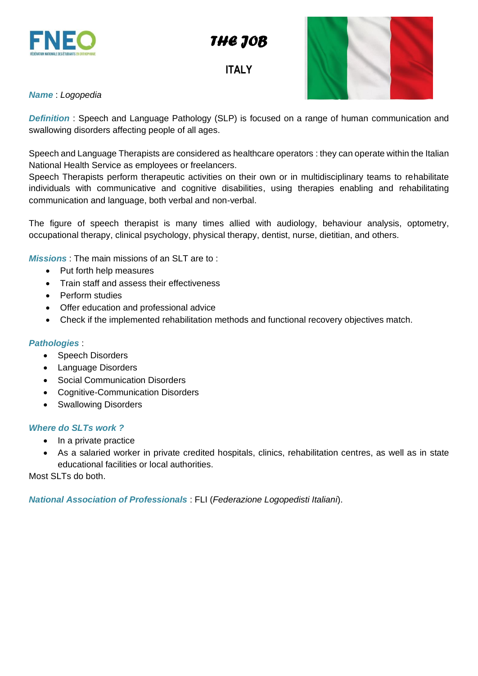

# **ITALY**



## *Name* : *Logopedia*

**Definition**: Speech and Language Pathology (SLP) is focused on a range of human communication and swallowing disorders affecting people of all ages.

Speech and Language Therapists are considered as healthcare operators : they can operate within the Italian National Health Service as employees or freelancers.

Speech Therapists perform therapeutic activities on their own or in multidisciplinary teams to rehabilitate individuals with communicative and cognitive disabilities, using therapies enabling and rehabilitating communication and language, both verbal and non-verbal.

The figure of speech therapist is many times allied with audiology, behaviour analysis, optometry, occupational therapy, clinical psychology, physical therapy, dentist, nurse, dietitian, and others.

*Missions* : The main missions of an SLT are to :

- Put forth help measures
- Train staff and assess their effectiveness
- Perform studies
- Offer education and professional advice
- Check if the implemented rehabilitation methods and functional recovery objectives match.

#### *Pathologies* :

- Speech Disorders
- Language Disorders
- Social Communication Disorders
- Cognitive-Communication Disorders
- Swallowing Disorders

#### *Where do SLTs work ?*

- In a private practice
- As a salaried worker in private credited hospitals, clinics, rehabilitation centres, as well as in state educational facilities or local authorities.

Most SLTs do both.

*National Association of Professionals* : FLI (*Federazione Logopedisti Italiani*).